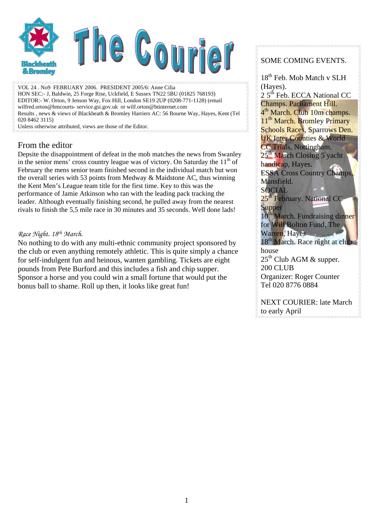

VOL 24 . No9 FEBRUARY 2006. PRESIDENT 2005/6: Anne Cilia HON SEC:- J, Baldwin, 25 Forge Rise, Uckfield, E Sussex TN22 5BU (01825 768193) EDITOR:- W. Orton, 9 Jenson Way, Fox Hill, London SE19 2UP (0208-771-1128) (email wilfred.orton@hmcourts- service.gsi.gov.uk or wilf.orton@btinternet.com Results , news & views of Blackheath & Bromley Harriers AC: 56 Bourne Way, Hayes, Kent (Tel 020 8462 3115)

Unless otherwise attributed, views are those of the Editor.

### From the editor

Depsite the disappointment of defeat in the mob matches the news from Swanley in the senior mens' cross country league was of victory. On Saturday the  $11<sup>th</sup>$  of February the mens senior team finished second in the individual match but won the overall series with 53 points from Medway & Maidstone AC, thus winning the Kent Men's League team title for the first time. Key to this was the performance of Jamie Atkinson who ran with the leading pack tracking the leader. Although eventually finishing second, he pulled away from the nearest rivals to finish the 5,5 mile race in 30 minutes and 35 seconds. Well done lads!

### *Race Night. 18th March.*

No nothing to do with any multi-ethnic community project sponsored by the club or even anything remotely athletic. This is quite simply a chance for self-indulgent fun and heinous, wanten gambling. Tickets are eight pounds from Pete Burford and this includes a fish and chip supper. Sponsor a horse and you could win a small fortune that would put the bonus ball to shame. Roll up then, it looks like great fun!

### SOME COMING EVENTS.

18<sup>th</sup> Feb. Mob Match v SLH (Hayes).

2 5<sup>th</sup> Feb. ECCA National CC Champs. Parliament Hill. 4<sup>th</sup> March. Club 10m champs. 11<sup>th</sup> March. Bromley Primary Schools Races, Sparrows Den. UK Inter Counties & World CC Trials, Nottingham.  $25<sup>th</sup>$  March Closing 5 yacht handicap, Hayes. ESSA Cross Country Champs, Mansfield. SOCIAL 25<sup>th</sup> February. National CC **Supper** 10<sup>th</sup> March. Fundraising dinner for Will Bolton Fund, The Warren, Hayes 18<sup>th</sup> March. Race night at club house  $25<sup>th</sup>$  Club AGM & supper. 200 CLUB

Organizer: Roger Counter Tel 020 8776 0884

NEXT COURIER: late March to early April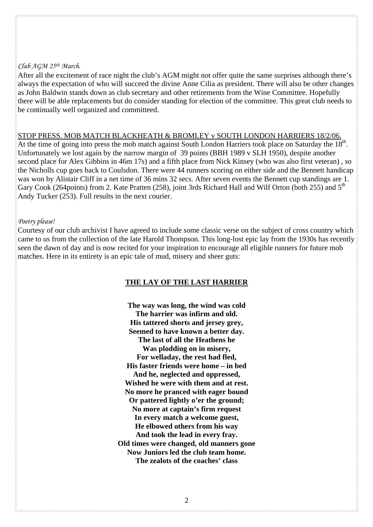### *Club AGM 25th March.*

After all the excitement of race night the club's AGM might not offer quite the same surprises although there's always the expectation of who will succeed the divine Anne Cilia as president. There will also be other changes as John Baldwin stands down as club secretary and other retirements from the Wine Committee. Hopefully there will be able replacements but do consider standing for election of the committee. This great club needs to be continually well organized and committeed.

#### STOP PRESS. MOB MATCH BLACKHEATH & BROMLEY v SOUTH LONDON HARRIERS 18/2/06.

At the time of going into press the mob match against South London Harriers took place on Saturday the 18<sup>th</sup>. Unfortunately we lost again by the narrow margin of 39 points (BBH 1989 v SLH 1950), despite another second place for Alex Gibbins in 46m 17s) and a fifth place from Nick Kinsey (who was also first veteran) , so the Nicholls cup goes back to Coulsdon. There were 44 runners scoring on either side and the Bennett handicap was won by Alistair Cliff in a net time of 36 mins 32 secs. After seven events the Bennett cup standings are 1. Gary Cook (264 points) from 2. Kate Pratten (258), joint 3rds Richard Hall and Wilf Orton (both 255) and 5<sup>th</sup> Andy Tucker (253). Full results in the next courier.

### *Poetry please!*

Courtesy of our club archivist I have agreed to include some classic verse on the subject of cross country which came to us from the collection of the late Harold Thompson. This long-lost epic lay from the 1930s has recently seen the dawn of day and is now recited for your inspiration to encourage all eligible runners for future mob matches. Here in its entirety is an epic tale of mud, misery and sheer guts:

### **THE LAY OF THE LAST HARRIER**

**The way was long, the wind was cold The harrier was infirm and old. His tattered shorts and jersey grey, Seemed to have known a better day. The last of all the Heathens he Was plodding on in misery, For welladay, the rest had fled, His faster friends were home – in bed And he, neglected and oppressed, Wished he were with them and at rest. No more he pranced with eager bound Or pattered lightly o'er the ground; No more at captain's firm request In every match a welcome guest, He elbowed others from his way And took the lead in every fray. Old times were changed, old manners gone Now Juniors led the club team home. The zealots of the coaches' class**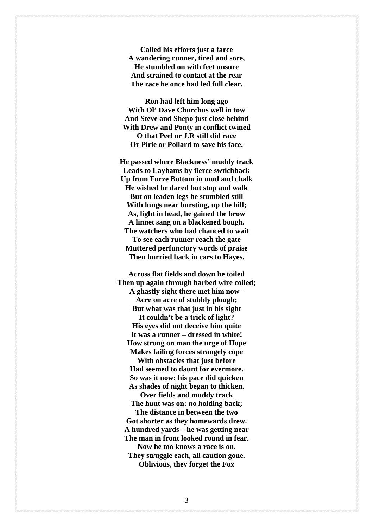**Called his efforts just a farce A wandering runner, tired and sore, He stumbled on with feet unsure And strained to contact at the rear The race he once had led full clear.**

**Ron had left him long ago With Ol' Dave Churchus well in tow And Steve and Shepo just close behind With Drew and Ponty in conflict twined O that Peel or J.R still did race Or Pirie or Pollard to save his face.** 

**He passed where Blackness' muddy track Leads to Layhams by fierce swtichback Up from Furze Bottom in mud and chalk He wished he dared but stop and walk But on leaden legs he stumbled still With lungs near bursting, up the hill; As, light in head, he gained the brow A linnet sang on a blackened bough. The watchers who had chanced to wait To see each runner reach the gate Muttered perfunctory words of praise Then hurried back in cars to Hayes.** 

**Across flat fields and down he toiled Then up again through barbed wire coiled; A ghastly sight there met him now -** 

**Acre on acre of stubbly plough; But what was that just in his sight It couldn't be a trick of light?** 

**His eyes did not deceive him quite It was a runner – dressed in white! How strong on man the urge of Hope Makes failing forces strangely cope**

**With obstacles that just before Had seemed to daunt for evermore. So was it now: his pace did quicken As shades of night began to thicken.**

**Over fields and muddy track The hunt was on: no holding back;** 

**The distance in between the two Got shorter as they homewards drew. A hundred yards – he was getting near The man in front looked round in fear. Now he too knows a race is on.** 

**They struggle each, all caution gone. Oblivious, they forget the Fox** 

3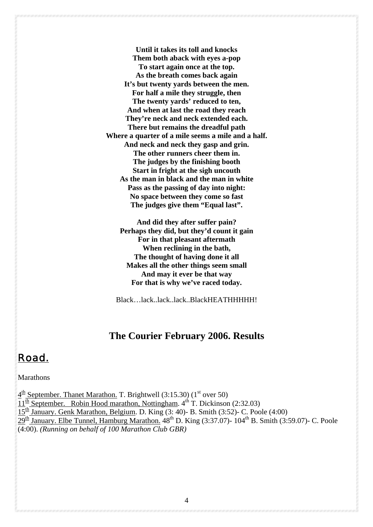**Until it takes its toll and knocks Them both aback with eyes a-pop To start again once at the top. As the breath comes back again It's but twenty yards between the men. For half a mile they struggle, then The twenty yards' reduced to ten, And when at last the road they reach They're neck and neck extended each. There but remains the dreadful path Where a quarter of a mile seems a mile and a half. And neck and neck they gasp and grin. The other runners cheer them in. The judges by the finishing booth Start in fright at the sigh uncouth As the man in black and the man in white Pass as the passing of day into night: No space between they come so fast The judges give them "Equal last".** 

**And did they after suffer pain? Perhaps they did, but they'd count it gain For in that pleasant aftermath When reclining in the bath, The thought of having done it all Makes all the other things seem small And may it ever be that way For that is why we've raced today.**

Black…lack..lack..lack..BlackHEATHHHHH!

### **The Courier February 2006. Results**

### *Road.*

### Marathons

 $4<sup>th</sup>$  September. Thanet Marathon. T. Brightwell (3:15.30) (1<sup>st</sup> over 50)  $11^{\frac{\text{th}}{\text{}}}\text{September.}$  Robin Hood marathon, Nottingham.  $4^{\text{th}}$  T. Dickinson (2:32.03)  $15<sup>th</sup>$  January. Genk Marathon, Belgium. D. King (3: 40)- B. Smith (3:52)- C. Poole (4:00)  $29<sup>th</sup>$  January. Elbe Tunnel, Hamburg Marathon.  $48<sup>th</sup>$  D. King (3:37.07)- 104<sup>th</sup> B. Smith (3:59.07)- C. Poole (4:00). *(Running on behalf of 100 Marathon Club GBR)*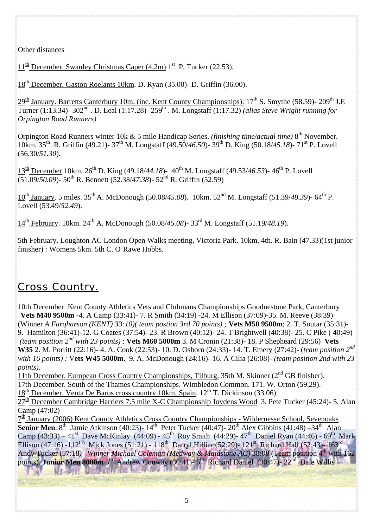Other distances

 $11<sup>th</sup>$  December. Swanley Christmas Caper (4.2m)  $1<sup>st</sup>$ . P. Tucker (22.53).

 $18<sup>th</sup>$  December. Gaston Roelants 10km. D. Ryan (35.00)- D. Griffin (36.00).

29<sup>th</sup> January. Barretts Canterbury 10m. (inc. Kent County Championships): 17<sup>th</sup> S. Smythe (58.59)- 209<sup>th</sup> J.E Turner (1:13.34)- 302nd . D. Leal (1:17.28)- 259th . M. Longstaff (1:17.32) *(alias Steve Wright running for Orpington Road Runners)* 

Orpington Road Runners winter 10k & 5 mile Handicap Series. *(finishing time/actual time)* 8<sup>th</sup> November. 10km. 35th. R. Griffin (49.21)- 37th M. Longstaff (49.50/*46.50*)- 39th D. King (50.18/*45.18*)- 71st P. Lovell (56.30/*51.30*).

13<sup>th</sup> December 10km. 26<sup>th</sup> D. King (49.18/44.18)- 40<sup>th</sup> M. Longstaff (49.53/46.53)- 46<sup>th</sup> P. Lovell (51.09/*50.09*)- 50th R. Bennett (52.38/*47.38*)- 52nd R. Griffin (52.59)

10th January. 5 miles. 35th A. McDonough (50.08/*45.08*). 10km. 52nd M. Longstaff (51.39/*48.39*)- 64th P. Lovell (53.49/*52.49*).

14th February. 10km. 24th A. McDonough (50.08/*45.08*)- 33rd M. Longstaff (51.19/*48.19*).

5th February. Loughton AC London Open Walks meeting, Victoria Park. 10km. 4th. R. Bain (47.33)(1st junior finisher) : Womens 5km. 5th C. O'Rawe Hobbs.

## *Cross Country.*

10th December Kent County Athletics Vets and Clubmans Championships Goodnestone Park, Canterbury **Vets M40 9500m -**4. A Camp (33:41)- 7. R Smith (34:19) -24. M Ellison (37:09)-35. M. Reeve (38:39) (Winner *A Farqharson (KENT) 33:10)( team postion 3rd 70 points) ;* **Vets M50 9500m**; 2. T. Soutar (35:31)- 9. Hamilton (36:41)-12. G Coates (37:54)- 23. R Brown (40:12)- 24. T Brightwell (40:38)- 25. C Pike ( 40:49) *(team position 2nd with 23 points)* : **Vets M60 5000m** 3. M Cronin (21:38)- 18. P Shepheard (29:56) **Vets W35** 2. M. Porritt (22:16)- 4. A. Cook (22:53)- 10. D. Osborn (24:33)- 14. T. Emery (27:42)- (*team position 2nd with 16 points) :* V**ets W45 5000m.** 9. A. McDonough (24:16)- 16. A Cilia (26:08)- *(team position 2nd with 23 points).* 

11th December. European Cross Country Championships, Tilburg. 35th M. Skinner (2<sup>nd</sup> GB finisher).

17th December. South of the Thames Championships. Wimbledon Common. 171. W. Orton (59.29).

 $18<sup>th</sup>$  December. Venta De Baros cross country 10km, Spain. 12<sup>th</sup> T. Dickinson (33.06)

 $27<sup>th</sup>$  December Cambridge Harriers 7.5 mile X-C Championship Joydens Wood 3. Pete Tucker (45:24)- 5. Alan Camp (47:02)

 $7<sup>th</sup>$  January (2006) Kent County Athletics Cross Country Championships - Wildernesse School, Sevenoaks **Senior Men.** 8<sup>th</sup> Jamie Atkinson (40:23)- 14<sup>th</sup> Peter Tucker (40:47)- 20<sup>th</sup> Alex Gibbins (41:48) –34<sup>th</sup> Alan Camp (43:33) – 41<sup>st</sup> Dave McKinlay (44:09) - 45<sup>th</sup> Roy Smith (44:29)- 47<sup>th</sup> Daniel Ryan (44:46) - 69<sup>th</sup> Mark Ellison (47:16) -112<sup>th</sup> Mick Jones (51:21) - 118<sup>th</sup> Darryl Hilliar (52:29)- 121<sup>st</sup> Richard Hall (52:43)- 163<sup>rd</sup> Andy Tucker (57:18) Winner Michael Coleman (Medway & Maidstone AC) 38:08 (Team position 4<sup>th</sup> with 162 points). **Junior Men 8000m** 5<sup>th</sup> Andrew Conway (30:41)- 6<sup>th</sup> Richard Daniel (30:47)- 22<sup>nd</sup> Dale Willis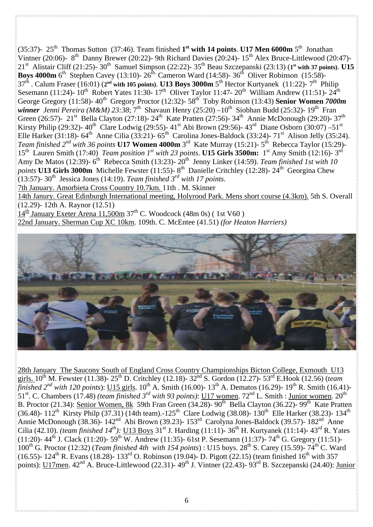(35:37)- 25th Thomas Sutton (37:46). Team finished **1st with 14 points**. **U17 Men 6000m** 5th Jonathan Vintner (20:06)- 8<sup>th</sup> Danny Brewer (20:22)- 9th Richard Davies (20:24)- 15<sup>th</sup> Alex Bruce-Littlewood (20:47)-21st Alistair Cliff (21:25)- 30th Samuel Simpson (22:22)- 35th Beau Szczepanski (23:13) (**1st with 37 points)**. **U15 Boys 4000m** 6<sup>th</sup> Stephen Cavey (13:10)-  $26^{th}$  Cameron Ward (14:58)-  $36^{th}$  Oliver Robinson (15:58)-37th . Calum Fraser (16:01) (**2nd with 105 points)**. **U13 Boys 3000m** 5th Hector Kurtyanek (11:22)- 7th Philip Sesemann (11:24)-  $10^{th}$  Robert Yates 11:30-  $17^{th}$  Oliver Taylor 11:47-  $20^{th}$  William Andrew (11:51)-  $24^{th}$ George Gregory (11:58)- 40<sup>th</sup> Gregory Proctor (12:32)- 58<sup>th</sup> Toby Robinson (13:43) **Senior Women 7000m** *winner Jenni Pereira (M&M) 23:38*; 7<sup>th</sup> Shavaun Henry (25:20) –10<sup>th</sup> Siobhan Budd (25:32)- 19<sup>th</sup> Fran Green (26:57)- 21<sup>st</sup> Bella Clayton (27:18)- 24<sup>th</sup> Kate Pratten (27:56)- 34<sup>th</sup> Annie McDonough (29:20)- 37<sup>th</sup> Kirsty Philip (29:32)- 40<sup>th</sup> Clare Lodwig (29:55)- 41<sup>st</sup> Abi Brown (29:56)- 43<sup>rd</sup> Diane Osborn (30:07) –51<sup>st</sup> Elle Harker (31:18)-  $64^{\text{th}}$  Anne Cilia (33:21)-  $65^{\text{th}}$  Carolina Jones-Baldock (33:24)-  $71^{\text{st}}$  Alison Jelly (35:24). *Team finished 2nd with 36 points* **U17 Women 4000m** 3rd Kate Murray (15:21)- 5th Rebecca Taylor (15:29)- 15th Lauren Smith (17:40) *Team position 1st with 23 points*. **U15 Girls 3500m:** 1st Amy Smith (12:16)- 3rd Amy De Matos (12:39)-  $6<sup>th</sup>$  Rebecca Smith (13:23)-  $20<sup>th</sup>$  Jenny Linker (14:59). *Team finished 1st with 10 points* **U13 Girls 3000m** Michelle Fewster (11:55)- 8<sup>th</sup> Danielle Critchley (12:28)- 24<sup>th</sup> Georgina Chew  $(13:57)$ - 30<sup>th</sup> Jessica Jones (14:19). *Team finished 3<sup>rd</sup> with 17 points.* 7th January. Amorbieta Cross Country 10.7km. 11th . M. Skinner 14th Janury. Great Edinburgh International meeting, Holyrood Park. Mens short course (4.3km). 5th S. Overall

(12.29)- 12th A. Raynor (12.51)

 $14^{\text{th}}$  January Exeter Arena 11,500m 37<sup>th</sup> C. Woodcock (48m 0s) (1st V60)

22nd January. Sherman Cup XC 10km. 109th. C. McEntee (41.51) *(for Heaton Harriers)*



28th January The Saucony South of England Cross Country Championships Bicton College, Exmouth U13 girls. 10<sup>th</sup> M. Fewster (11.38)- 25<sup>th</sup> D. Critchley (12.18)- 32<sup>nd</sup> S. Gordon (12.27)- 53<sup>rd</sup> E.Hook (12.56) (*team finished 2<sup>nd</sup> with 120 points*): <u>U15 girls</u>. 10<sup>th</sup> A. Smith (16.00)- 13<sup>th</sup> A. Dematos (16.29)- 19<sup>th</sup> R. Smith (16.41)-51st. C. Chambers (17.48) *(team finished 3rd with 93 points)*: U17 women. 72nd L. Smith : Junior women. 20th B. Proctor (21.34): Senior Women, 8k 59th Fran Green (34.28)- 90<sup>th</sup> Bella Clayton (36.22)- 99<sup>th</sup> Kate Pratten (36.48)-  $112^{th}$  Kirsty Philp (37.31) (14th team).-125<sup>th</sup> Clare Lodwig (38.08)- 130<sup>th</sup> Elle Harker (38.23)- 134<sup>th</sup> Annie McDonough (38.36)- 142<sup>nd</sup> Abi Brown (39.23)- 153<sup>rd</sup> Carolyna Jones-Baldock (39.57)- 182<sup>nd</sup> Anne Cilia (42.10). *(team finished 14<sup>th</sup>):* U13 Boys 31<sup>st</sup> J. Harding (11:11)- 36<sup>th</sup> H. Kurtyanek (11:14)- 43<sup>rd</sup> R. Yates (11:20)-  $44^{\text{th}}$  J. Clack (11:20)-  $59^{\text{th}}$  W. Andrew (11:35)- 61st P. Sesemann (11:37)- 74<sup>th</sup> G. Gregory (11:51)-100th G. Proctor (12:32) (*Team finished 4th with 154 points*) : U15 boys. 28th S. Carey (15.59)- 74th C. Ward (16.55)- 124<sup>th</sup> R. Evans (18.28)- 133<sup>rd</sup> O. Robinson (19.04)- D. Pigott (22.15) (team finished 16<sup>th</sup> with 357 points): <u>U17men</u>. 42<sup>nd</sup> A. Bruce-Littlewood (22.31)- 49<sup>th</sup> J. Vintner (22.43)- 93<sup>rd</sup> B. Szczepanski (24.40): Junior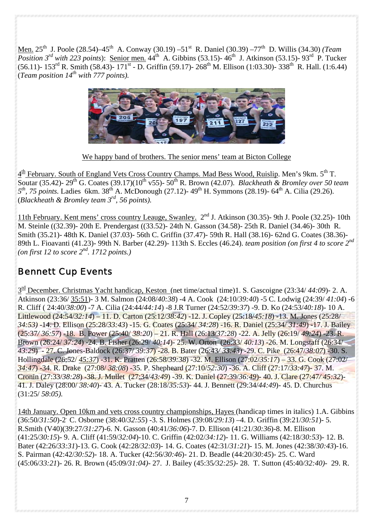Men. 25th J. Poole (28.54)–45th A. Conway (30.19) –51st R. Daniel (30.39) –77th D. Willis (34.30) *(Team Position 3<sup>rd</sup> with 223 points*): Senior men.  $44<sup>th</sup>$  A. Gibbins (53.15)-  $46<sup>th</sup>$  J. Atkinson (53.15)-  $93<sup>rd</sup>$  P. Tucker (56.11)- 153<sup>rd</sup> R. Smith (58.43)- 171<sup>st</sup> - D. Griffin (59.17)- 268<sup>th</sup> M. Ellison (1:03.30)- 338<sup>th</sup> R. Hall. (1:6.44) (*Team position 14th with 777 points).* 



We happy band of brothers. The senior mens' team at Bicton College

 $4<sup>th</sup>$  February. South of England Vets Cross Country Champs. Mad Bess Wood, Ruislip. Men's 9km.  $5<sup>th</sup>$  T. Soutar (35.42)- 29th G. Coates (39.17)(10th v55)- 50th R. Brown (42.07). *Blackheath & Bromley over 50 team 5th, 75 points.* Ladies 6km. 38th A. McDonough (27.12)- 49th H. Symmons (28.19)- 64th A. Cilia (29.26). (*Blackheath & Bromley team 3rd, 56 points).*

11th February. Kent mens' cross country Leauge, Swanley. 2nd J. Atkinson (30.35)- 9th J. Poole (32.25)- 10th M. Steinle ((32.39)- 20th E. Prendergast ((33.52)- 24th N. Gasson (34.58)- 25th R. Daniel (34.46)- 30th R. Smith (35.21)- 48th K. Daniel (37.03)- 56th C. Griffin (37.47)- 59th R. Hall (38.16)- 62nd G. Coates (38.36)- 89th L. Fioavanti (41.23)- 99th N. Barber (42.29)- 113th S. Eccles (46.24). *team position (on first 4 to score 2nd (on first 12 to score 2nd. 1712 points.)* 

### *Bennett Cup Events*

3rd December. Christmas Yacht handicap, Keston (net time/actual time)1. S. Gascoigne (23:34/ *44:09*)- 2. A. Atkinson (23:36/ 35:51)- 3 M. Salmon (24:08/*40:38*) -4 A. Cook (24:10/*39:40*) -5 C. Lodwig (24:39/ *41:04*) -6 R. Cliff ( 24:40/*38:00*) -7 A. Cilia (24:44/*44:14*) -8 J.R Turner (24:52/*39:37*) -9. D. Ko (24:53/*40:18*)- 10 A. Littlewood (24:54/*32:14*) – 11. D. Carton (25:12/*38:42*) -12. J. Copley (25:18/*45:18*) -13. M. Jones (25:28/ *34:53)* -14. D. Ellison (25:28/*33:43*) -15. G. Coates (25:34/ *34:28*) -16. R. Daniel (25:34/ *31:49*) -17. J. Bailey (25:37*/ 36:57*) -18. B. Power (25:40/ *38:20*) – 21. R. Hall (26:13/*37:28*) -22. A. Jelly (26:19/ *49:24*) -23. R. Brown (26:24/ *37:24*) -24. B. Fisher (26:29/ *40:14*)- 25. W. Orton (26:33/ *40:13*) -26. M. Longstaff (26:34/ *43:29*) - 27. C. Jones-Baldock (26:37/ *39:37*) -28. B. Bater (26:43*/ 33:43*) -29. C. Pike (26:47/*38:07*) -30. S. Hollingdale (26:52/ *45:37*) -31. K. Pratten (26:58/*39:38*) -32. M. Ellison (27:02/*35:17*) – 33. G. Cook (27:02/ *34:47*) -34. R. Drake (27:08/ *38:08*) -35. P. Shepheard (27:10/*52:30*) -36. A. Cliff (27:17/*33:47*)- 37. M. Cronin (27:33/*38:28*) -38. J. Mullet (27:34/*43:49*) -39. K. Daniel (27:39/*36:49*)- 40. J. Clare (27:47*/ 45:32*)- 41. J. Daley (28:00/ *38:40*)- 43. A. Tucker (28:18/*35:53*)- 44. J. Bennett (29:34/*44:49*)- 45. D. Churchus (31:25/ *58*:*05).*

14th January. Open 10km and vets cross country championships, Hayes (handicap times in italics) 1.A. Gibbins (36:50/*31:50*)-2. C. Osborne (38:40/*32:55*) -3. S. Holmes (39:08/*29:13*) –4. D. Griffin (39:21/*30:51*)- 5. R.Smith (V40)(39:27*/31:27*)-6. N. Gasson (40:41/*36:06*)-7. D. Ellison (41:21/*30:36*)-8. M. Ellison (41:25/*30:15*)- 9. A. Cliff (41:59/*32:04*)-10. C. Griffin (42:02/*34:12*)- 11. G. Williams (42:18/*30:53*)- 12. B. Bater (42:26/*33:31*)-13. G. Cook (42:28/*32:03*)- 14. G. Coates (42:31/*31:21*)- 15. M. Jones (42:38/*30:43*)-16. S. Pairman (42:42/*30:52*)- 18. A. Tucker (42:56/*30:46*)- 21. D. Beadle (44:20/*30:45*)- 25. C. Ward (45:06/*33:21*)- 26. R*.* Brown (45:09*/31:04)-* 27. J. Bailey (45:35*/32:25)-* 28. T. Sutton (45:40*/32:40)-* 29. R.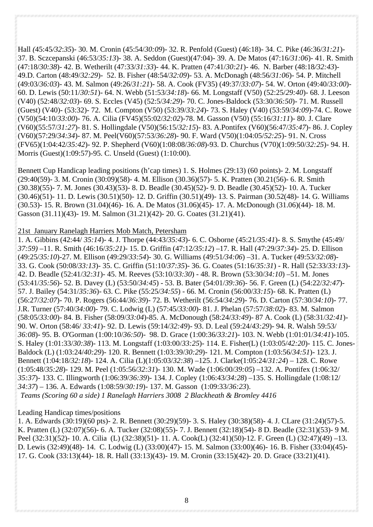Hall *(*45:45*/32*:*35*)- 30. M. Cronin (45:54/*30:09*)- 32. R. Penfold (Guest) (46:18)- 34. C. Pike (46:36/*31:21*)- 37. B. Sczcepanski (46:53/*35:13*)- 38. A. Seddon (Guest)(47:04)- 39. A. De Matos (47:16/*31:06*)- 41. R. Smith (47:18/*30:38*)- 42. B. Wetherilt (47:33/*31:33*)- 44. K. Pratten (47:41/*30:21*)- 46. N. Barber (48:18*/32:43*)- 49.D. Carton (48:49/*32:29*)- 52. B. Fisher (48:54/*32:09*)- 53. A. McDonagh (48:56/*31:06*)- 54. P. Mitchell (49:03/*36:03*)- 43. M. Salmon (49:26/*31:21*)- 58. A. Cook (FV35) (49:37/*33:07*)- 54. W. Orton (49:40/*33:00*)- 60. D. Lewis (50:11/*30:51*)- 64. N. Webb (51:53/*34:18*)- 66. M. Longstaff (V50) (52:25/*29:40*)- 68. J. Leeson (V40) (52:48/*32:03*)- 69. S. Eccles (V45) (52:5/*34:29*)- 70. C. Jones-Baldock (53:30/*36:50*)- 71. M. Russell (Guest) (V40)- (53:32)- 72. M. Compton (V50) (53:39/*33:24*)- 73. S. Haley (V40) (53:59/*34:09*)-74. C. Rowe (V50)(54:10/*33:00*)- 76. A. Cilia (FV45)(55:02/*32:02*)-78. M. Gasson (V50) (55:16/*31:11*)- 80. J. Clare (V60)(55:57/*31:27*)- 81. S. Hollingdale (V50)(56:15/*32:15*)- 83. A.Pontifex (V60)(56:47/*35:47*)- 86. J. Copley (V60)(57:29/*34:34*)- 87. M. Peel(V60)(57:53/*36:28*)- 90. F. Ward (V50)(1:04:05/*52:25*)- 91. N. Cross (FV65)(1:04:42/*35:42*)- 92. P. Shepherd (V60)(1:08:08/*36:08*)-93. D. Churchus (V70)(1:09:50/*32:25*)- 94. H. Morris (Guest)(1:09:57)-95. C. Unseld (Guest) (1:10:00).

Bennett Cup Handicap leading positions (h'cap times) 1. S. Holmes (29:13) (60 points)- 2. M. Longstaff (29:40(59)- 3. M. Cronin (30:09)(58)- 4. M. Ellison (30.36)(57)- 5. K. Pratten (30.21(56)- 6. R. Smith (30.38)(55)- 7. M. Jones (30.43)(53)- 8. D. Beadle (30.45)(52)- 9. D. Beadle (30.45)(52)- 10. A. Tucker (30.46)(51)- 11. D. Lewis (30.51)(50)- 12. D. Griffin (30.51)(49)- 13. S. Pairman (30.52(48)- 14. G. Williams (30.53)- 15. R. Brown (31.04)(46)- 16. A. De Matos (31.06)(45)- 17. A. McDonough (31.06)(44)- 18. M. Gasson (31.11)(43)- 19. M. Salmon (31.21)(42)- 20. G. Coates (31.21)(41).

### 21st January Ranelagh Harriers Mob Match, Petersham

1. A. Gibbins (42:44/ *35:14*)- 4. J. Thorpe (44:43/*35:43*)- 6. C. Osborne (45:21*/35:41*)- 8. S. Smythe (45:49/ *37:59)* –11. R. Smith (46:16/*35:21)*- 15. D. Griffin (47:12*/35*:*12*) –17. R. Hall (47:29/*37:34*)- 25. D. Ellison (49:25/*35:10*)-27. M. Ellison (49:29/*33:54*)- 30. G. Williams (49:51*/34:06*) –31. A. Tucker (49:53/*32:08*)- 33. G. Cook (50:08/*33:13*)- 35. C. Griffin (51:10/*37:35*)- 36. G. Coates (51:16/*35:31*) - R. Hall (52:33/*33:13*)- 42. D. Beadle (52:41/*32:31*)- 45. M. Reeves (53:10/*33:30*) - 48. R. Brown (53:30/*34:10*) –51. M. Jones (53:41/*35:56*)- 52. B. Davey (L) (53:50/*34:45*) - 53. B. Bater (54:01/*39:36*)- 56. F. Green (L) (54:22/*32:47*)- 57. J. Bailey (54:31/*35:36*)- 63. C. Pike (55:25/*34:55*) - 66. M. Cronin (56:00/*33:15*)- 68. K. Pratten (L) (56:27/*32:07*)- 70. P. Rogers (56:44/*36:39*)- 72. B. Wetherilt (56:54/*34:29*)- 76. D. Carton (57:30/*34:10*)- 77. J.R. Turner (57:40/*34:00*)- 79. C. Lodwig (L) (57:45/*33:00*)- 81. J. Phelan (57:57/*38:02*)- 83. M. Salmon (58:05/*33:00*)- 84. B. Fisher (58:09/*33:04*)-85. A. McDonough (58:24/*33:49*)- 87 A. Cook (L) (58:31/*32:41*)- 90. W. Orton (58:46/ *33:41*)- 92. D. Lewis (59:14/*32:49*)- 93. D. Leal (59:24/*43:29*)- 94. R. Walsh 59:53/ *36:08*)- 95. B. O'Gorman (1:00:10/*36:50*)- 98. D. Grace (1:00:36/*33:21*)- 103. N. Webb (1:01:01/*34:41*)-105. S. Haley (1:01:33/*30:38*)- 113. M. Longstaff (1:03:00/*33:25*)- 114. E. Fisher(L) (1:03:05/*42:20*)- 115. C. Jones-Baldock (L) (1:03:24/*40:29*)- 120. R. Bennett (1:03:39/*30:29*)- 121. M. Compton (1:03:56/*34:51*)- 123. J. Bennett (1:04:18/*32:18*)- 124. A. Cilia (L)(1:05:03/*32:38*) –125. J. Clarke(1:05:24/*31:24*) – 128. C. Rowe (1:05:48/*35:28*)- 129. M. Peel (1:05:56/*32:31*)- 130. M. Wade (1:06:00/*39:05*) –132. A. Pontifex (1:06:32/ *35:37*)- 133. C. Illingworth (1:06:39/*36:39*)- 134. J. Copley (1:06:43/*34:28*) –135. S. Hollingdale (1:08:12/ *34:37*) – 136. A. Edwards (1:08:59/*30:19*)- 137. M. Gasson (1:09:33/*36:23*). *Teams (Scoring 60 a side) 1 Ranelagh Harriers 3008 2 Blackheath & Bromley 4416* 

#### Leading Handicap times/positions

1. A. Edwards (30:19)(60 pts)- 2. R. Bennett (30:29)(59)- 3. S. Haley (30:38)(58)- 4. J. CLare (31:24)(57)-5. K. Pratten (L) (32:07)(56)- 6. A. Tucker (32:08)(55)- 7. J. Bennett (32:18)(54)- 8 D. Beadle (32:31)(53)- 9 M. Peel (32:31)(52)- 10. A. Cilia (L) (32:38)(51)- 11. A. Cook(L) (32:41)(50)-12. F. Green (L) (32:47)(49) –13. D. Lewis (32:49)(48)- 14. C. Lodwig (L) (33:00)(47)- 15. M. Salmon (33:00)(46)- 16. B. Fisher (33:04)(45)- 17. G. Cook (33:13)(44)- 18. R. Hall (33:13)(43)- 19. M. Cronin (33:15)(42)- 20. D. Grace (33:21)(41).